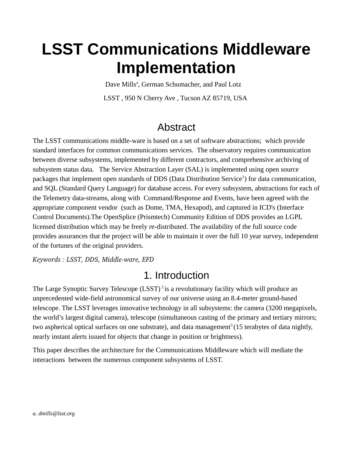# **LSST Communications Middleware Implementation**

Dave Mills<sup>a</sup>, German Schumacher, and Paul Lotz LSST , 950 N Cherry Ave , Tucson AZ 85719, USA

# **Abstract**

The LSST communications middle-ware is based on a set of software abstractions; which provide standard interfaces for common communications services. The observatory requires communication between diverse subsystems, implemented by different contractors, and comprehensive archiving of subsystem status data. The Service Abstraction Layer (SAL) is implemented using open source packages that implement open standards of DDS (Data Distribution Service<sup>1</sup>) for data communication, and SQL (Standard Query Language) for database access. For every subsystem, abstractions for each of the Telemetry data-streams, along with Command/Response and Events, have been agreed with the appropriate component vendor (such as Dome, TMA, Hexapod), and captured in ICD's (Interface Control Documents).The OpenSplice (Prismtech) Community Edition of DDS provides an LGPL licensed distribution which may be freely re-distributed. The availability of the full source code provides assurances that the project will be able to maintain it over the full 10 year survey, independent of the fortunes of the original providers.

*Keywords : LSST, DDS, Middleware, EFD*

### 1. Introduction

The Large Synoptic Survey Telescope  $(LSST)^2$  is a revolutionary facility which will produce an unprecedented wide-field astronomical survey of our universe using an 8.4-meter ground-based telescope. The LSST leverages innovative technology in all subsystems: the camera (3200 megapixels, the world's largest digital camera), telescope (simultaneous casting of the primary and tertiary mirrors; two aspherical optical surfaces on one substrate), and data management<sup>3</sup> (15 terabytes of data nightly, nearly instant alerts issued for objects that change in position or brightness).

This paper describes the architecture for the Communications Middleware which will mediate the interactions between the numerous component subsystems of LSST.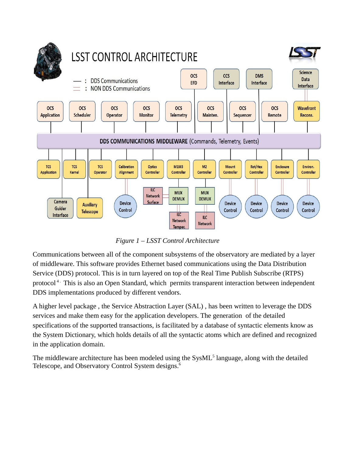

*Figure 1 – LSST Control Architecture*

Communications between all of the component subsystems of the observatory are mediated by a layer of middleware. This software provides Ethernet based communications using the Data Distribution Service (DDS) protocol. This is in turn layered on top of the Real Time Publish Subscribe (RTPS) protocol<sup>4.</sup> This is also an Open Standard, which permits transparent interaction between independent DDS implementations produced by different vendors.

A higher level package , the Service Abstraction Layer (SAL) , has been written to leverage the DDS services and make them easy for the application developers. The generation of the detailed specifications of the supported transactions, is facilitated by a database of syntactic elements know as the System Dictionary, which holds details of all the syntactic atoms which are defined and recognized in the application domain.

The middleware architecture has been modeled using the  $SysML<sup>5</sup>$  language, along with the detailed Telescope, and Observatory Control System designs.<sup>6</sup>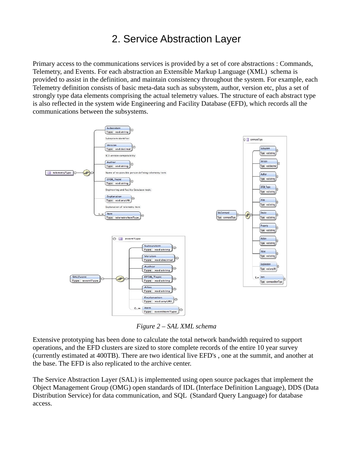## 2. Service Abstraction Layer

Primary access to the communications services is provided by a set of core abstractions : Commands, Telemetry, and Events. For each abstraction an Extensible Markup Language (XML) schema is provided to assist in the definition, and maintain consistency throughout the system. For example, each Telemetry definition consists of basic meta-data such as subsystem, author, version etc, plus a set of strongly type data elements comprising the actual telemetry values. The structure of each abstract type is also reflected in the system wide Engineering and Facility Database (EFD), which records all the communications between the subsystems.



*Figure 2 – SAL XML schema*

Extensive prototyping has been done to calculate the total network bandwidth required to support operations, and the EFD clusters are sized to store complete records of the entire 10 year survey (currently estimated at 400TB). There are two identical live EFD's , one at the summit, and another at the base. The EFD is also replicated to the archive center.

The Service Abstraction Layer (SAL) is implemented using open source packages that implement the Object Management Group (OMG) open standards of IDL (Interface Definition Language), DDS (Data Distribution Service) for data communication, and SQL (Standard Query Language) for database access.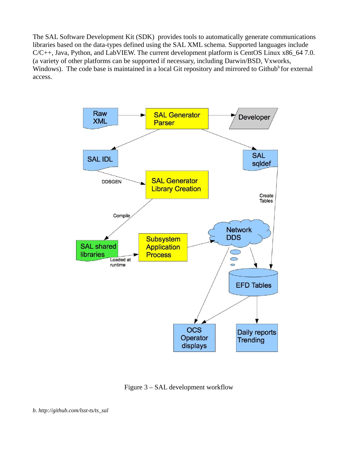The SAL Software Development Kit (SDK) provides tools to automatically generate communications libraries based on the data-types defined using the SAL XML schema. Supported languages include C/C++, Java, Python, and LabVIEW. The current development platform is CentOS Linux x86\_64 7.0. (a variety of other platforms can be supported if necessary, including Darwin/BSD, Vxworks, Windows). The code base is maintained in a local Git repository and mirrored to Github<sup>b</sup> for external access.



Figure 3 – SAL development workflow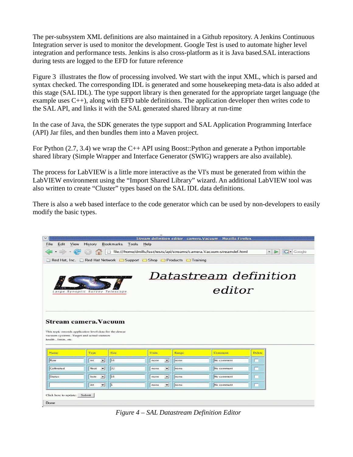The per-subsystem XML definitions are also maintained in a Github repository. A Jenkins Continuous Integration server is used to monitor the development. Google Test is used to automate higher level integration and performance tests. Jenkins is also cross-platform as it is Java based.SAL interactions during tests are logged to the EFD for future reference

Figure 3 illustrates the flow of processing involved. We start with the input XML, which is parsed and syntax checked. The corresponding IDL is generated and some housekeeping meta-data is also added at this stage (SAL IDL). The type support library is then generated for the appropriate target language (the example uses  $C^{++}$ ), along with EFD table definitions. The application developer then writes code to the SAL API, and links it with the SAL generated shared library at run-time

In the case of Java, the SDK generates the type support and SAL Application Programming Interface (API) Jar files, and then bundles them into a Maven project.

For Python (2.7, 3.4) we wrap the C++ API using Boost::Python and generate a Python importable shared library (Simple Wrapper and Interface Generator (SWIG) wrappers are also available).

The process for LabVIEW is a little more interactive as the VI's must be generated from within the LabVIEW environment using the "Import Shared Library" wizard. An additional LabVIEW tool was also written to create "Cluster" types based on the SAL IDL data definitions.

There is also a web based interface to the code generator which can be used by non-developers to easily modify the basic types.



*Figure 4 – SAL Datastream Definition Editor*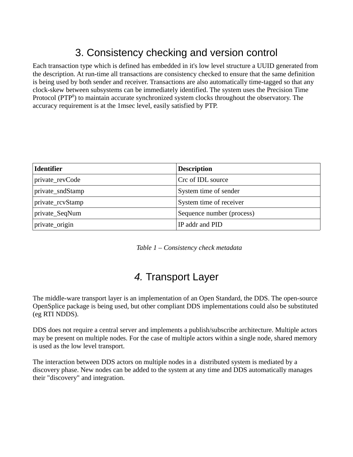# 3. Consistency checking and version control

Each transaction type which is defined has embedded in it's low level structure a UUID generated from the description. At run-time all transactions are consistency checked to ensure that the same definition is being used by both sender and receiver. Transactions are also automatically time-tagged so that any clock-skew between subsystems can be immediately identified. The system uses the Precision Time Protocol (PTP<sup>8</sup>) to maintain accurate synchronized system clocks throughout the observatory. The accuracy requirement is at the 1msec level, easily satisfied by PTP.

| <b>Identifier</b> | <b>Description</b>        |
|-------------------|---------------------------|
| private_revCode   | Crc of IDL source         |
| private_sndStamp  | System time of sender     |
| private_rcvStamp  | System time of receiver   |
| private_SeqNum    | Sequence number (process) |
| private_origin    | IP addr and PID           |

*Table 1 – Consistency check metadata*

## *4.* Transport Layer

The middle-ware transport layer is an implementation of an Open Standard, the DDS. The open-source OpenSplice package is being used, but other compliant DDS implementations could also be substituted (eg RTI NDDS).

DDS does not require a central server and implements a publish/subscribe architecture. Multiple actors may be present on multiple nodes. For the case of multiple actors within a single node, shared memory is used as the low level transport.

The interaction between DDS actors on multiple nodes in a distributed system is mediated by a discovery phase. New nodes can be added to the system at any time and DDS automatically manages their "discovery" and integration.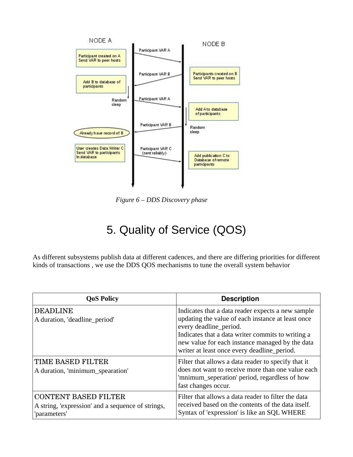

 *Figure 6 – DDS Discovery phase*

# 5. Quality of Service (QOS)

As different subsystems publish data at different cadences, and there are differing priorities for different kinds of transactions , we use the DDS QOS mechanisms to tune the overall system behavior

| <b>QoS Policy</b>                                                                                | <b>Description</b>                                                                                                                                                                                                                                                                      |
|--------------------------------------------------------------------------------------------------|-----------------------------------------------------------------------------------------------------------------------------------------------------------------------------------------------------------------------------------------------------------------------------------------|
| <b>DEADLINE</b><br>A duration, 'deadline_period'                                                 | Indicates that a data reader expects a new sample<br>updating the value of each instance at least once<br>every deadline_period.<br>Indicates that a data writer commits to writing a<br>new value for each instance managed by the data<br>writer at least once every deadline_period. |
| <b>TIME BASED FILTER</b><br>A duration, 'minimum_spearation'                                     | Filter that allows a data reader to specify that it<br>does not want to receive more than one value each<br>'mnimum_seperation' period, regardless of how<br>fast changes occur.                                                                                                        |
| <b>CONTENT BASED FILTER</b><br>A string, 'expression' and a sequence of strings,<br>'parameters' | Filter that allows a data reader to filter the data<br>received based on the contents of the data itself.<br>Syntax of 'expression' is like an SQL WHERE                                                                                                                                |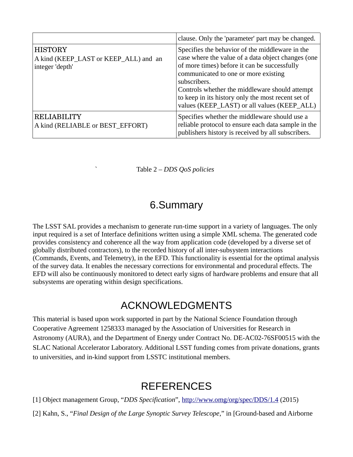|                                                                            | clause. Only the 'parameter' part may be changed.                                                                                                                                                                                                                                                                                                                    |
|----------------------------------------------------------------------------|----------------------------------------------------------------------------------------------------------------------------------------------------------------------------------------------------------------------------------------------------------------------------------------------------------------------------------------------------------------------|
| <b>HISTORY</b><br>A kind (KEEP_LAST or KEEP_ALL) and an<br>integer 'depth' | Specifies the behavior of the middleware in the<br>case where the value of a data object changes (one<br>of more times) before it can be successfully<br>communicated to one or more existing<br>subscribers.<br>Controls whether the middleware should attempt<br>to keep in its history only the most recent set of<br>values (KEEP_LAST) or all values (KEEP_ALL) |
| <b>RELIABILITY</b><br>A kind (RELIABLE or BEST_EFFORT)                     | Specifies whether the middleware should use a<br>reliable protocol to ensure each data sample in the<br>publishers history is received by all subscribers.                                                                                                                                                                                                           |

` Table 2 *– DDS QoS policies*

### 6.Summary

The LSST SAL provides a mechanism to generate run-time support in a variety of languages. The only input required is a set of Interface definitions written using a simple XML schema. The generated code provides consistency and coherence all the way from application code (developed by a diverse set of globally distributed contractors), to the recorded history of all inter-subsystem interactions (Commands, Events, and Telemetry), in the EFD. This functionality is essential for the optimal analysis of the survey data. It enables the necessary corrections for environmental and procedural effects. The EFD will also be continuously monitored to detect early signs of hardware problems and ensure that all subsystems are operating within design specifications.

#### ACKNOWLEDGMENTS

This material is based upon work supported in part by the National Science Foundation through Cooperative Agreement 1258333 managed by the Association of Universities for Research in Astronomy (AURA), and the Department of Energy under Contract No. DE-AC02-76SF00515 with the SLAC National Accelerator Laboratory. Additional LSST funding comes from private donations, grants to universities, and in-kind support from LSSTC institutional members.

### **REFERENCES**

[1] Object management Group, "*DDS Specification*",<http://www.omg/org/spec/DDS/1.4>(2015)

[2] Kahn, S., "*Final Design of the Large Synoptic Survey Telescope*," in [Ground-based and Airborne